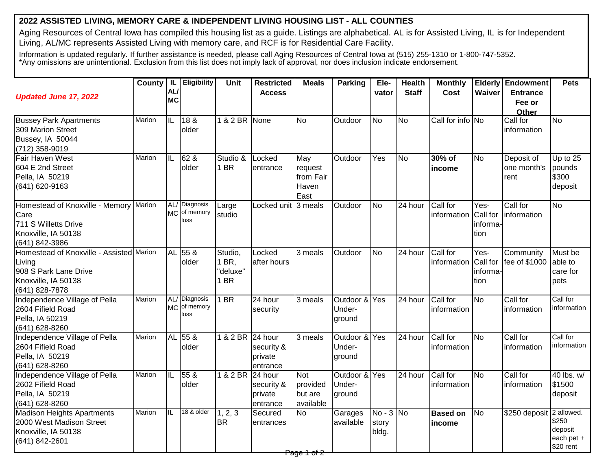## **2022 ASSISTED LIVING, MEMORY CARE & INDEPENDENT LIVING HOUSING LIST - ALL COUNTIES**

Aging Resources of Central Iowa has compiled this housing list as a guide. Listings are alphabetical. AL is for Assisted Living, IL is for Independent Living, AL/MC represents Assisted Living with memory care, and RCF is for Residential Care Facility.

Information is updated regularly. If further assistance is needed, please call Aging Resources of Central Iowa at (515) 255-1310 or 1-800-747-5352. \*Any omissions are unintentional. Exclusion from this list does not imply lack of approval, nor does inclusion indicate endorsement.

| <b>Updated June 17, 2022</b>                                                                                         | County   IL   | <b>AL</b><br><b>MC</b> | Eligibility                           | <b>Unit</b>                          | <b>Restricted</b><br><b>Access</b>           | <b>Meals</b>                                   | <b>Parking</b>                    | Ele-<br>vator                 | <b>Health</b><br><b>Staff</b> | <b>Monthly</b><br>Cost    | Waiver                                 | <b>Elderly Endowment</b><br><b>Entrance</b><br>Fee or<br>Other | <b>Pets</b>                                 |
|----------------------------------------------------------------------------------------------------------------------|---------------|------------------------|---------------------------------------|--------------------------------------|----------------------------------------------|------------------------------------------------|-----------------------------------|-------------------------------|-------------------------------|---------------------------|----------------------------------------|----------------------------------------------------------------|---------------------------------------------|
| <b>Bussey Park Apartments</b><br>309 Marion Street<br>Bussey, IA 50044<br>(712) 358-9019                             | Marion        | ΙL                     | 18 &<br>older                         | 1 & 2 BR None                        |                                              | <b>No</b>                                      | Outdoor                           | <b>No</b>                     | <b>No</b>                     | Call for info No          |                                        | Call for<br>information                                        | $\overline{N}$                              |
| Fair Haven West<br>604 E 2nd Street<br>Pella, IA 50219<br>(641) 620-9163                                             | Marion        | ΙīΕ                    | 62 &<br>older                         | Studio &<br>1 BR                     | Locked<br>entrance                           | May<br>request<br>from Fair<br>Haven<br>East   | Outdoor                           | Yes                           | <b>No</b>                     | 30% of<br>income          | <b>No</b>                              | Deposit of<br>one month's<br>rent                              | Up to 25<br>pounds<br>\$300<br>deposit      |
| Homestead of Knoxville - Memory Marion<br>Care<br>711 S Willetts Drive<br>Knoxville, IA 50138<br>(641) 842-3986      |               | AL/<br><b>MC</b>       | Diagnosis<br>of memory<br>loss        | Large<br>studio                      | Locked unit 3 meals                          |                                                | Outdoor                           | <b>No</b>                     | 24 hour                       | Call for<br>information   | Yes-<br>Call for<br>informa-<br>tion   | Call for<br>linformation                                       | <b>No</b>                                   |
| Homestead of Knoxville - Assisted Marion<br>Living<br>908 S Park Lane Drive<br>Knoxville, IA 50138<br>(641) 828-7878 |               | <b>AL</b>              | $55\ \&$<br>older                     | Studio,<br>1 BR.<br>"deluxe"<br>1 BR | Locked<br>after hours                        | $\overline{3}$ meals                           | Outdoor                           | <b>No</b>                     | 24 hour                       | Call for<br>information   | $Yes-$<br>Call for<br>informa-<br>tion | Community<br>fee of \$1000                                     | Must be<br>able to<br>care for<br>pets      |
| Independence Village of Pella<br>2604 Fifield Road<br>Pella, IA 50219<br>(641) 628-8260                              | Marion        |                        | AL/ Diagnosis<br>MC of memory<br>loss | $1$ BR                               | 24 hour<br>security                          | 3 meals                                        | Outdoor &<br>Under-<br>ground     | Yes                           | 24 hour                       | Call for<br>information   | <b>No</b>                              | Call for<br>information                                        | Call for<br>information                     |
| Independence Village of Pella<br>2604 Fifield Road<br>Pella, IA 50219<br>(641) 628-8260                              | <b>Marion</b> | <b>AL</b>              | $55\ \&$<br>older                     | 1 & 2 BR 24 hour                     | security &<br>private<br>entrance            | 3 meals                                        | Outdoor & Yes<br>Under-<br>ground |                               | 24 hour                       | Call for<br>information   | <b>No</b>                              | Call for<br>information                                        | Call for<br>information                     |
| Independence Village of Pella<br>2602 Fifield Road<br>Pella, IA 50219<br>(641) 628-8260                              | Marion        | π                      | 558<br>older                          | 1 & 2 BR                             | 24 hour<br>security &<br>private<br>entrance | <b>Not</b><br>provided<br>but are<br>available | Outdoor & Yes<br>Under-<br>ground |                               | 24 hour                       | Call for<br>information   | No                                     | Call for<br>information                                        | 40 lbs. w/<br>\$1500<br>deposit             |
| <b>Madison Heights Apartments</b><br>2000 West Madison Street<br>Knoxville, IA 50138<br>(641) 842-2601               | Marion        | Iil                    | 18 & older                            | 1, 2, 3<br><b>BR</b>                 | Secured<br>entrances                         | <b>No</b>                                      | Garages<br>available              | $No - 3 No$<br>story<br>bldg. |                               | <b>Based on</b><br>income | <b>No</b>                              | \$250 deposit 2 allowed.                                       | \$250<br>deposit<br>each pet +<br>\$20 rent |